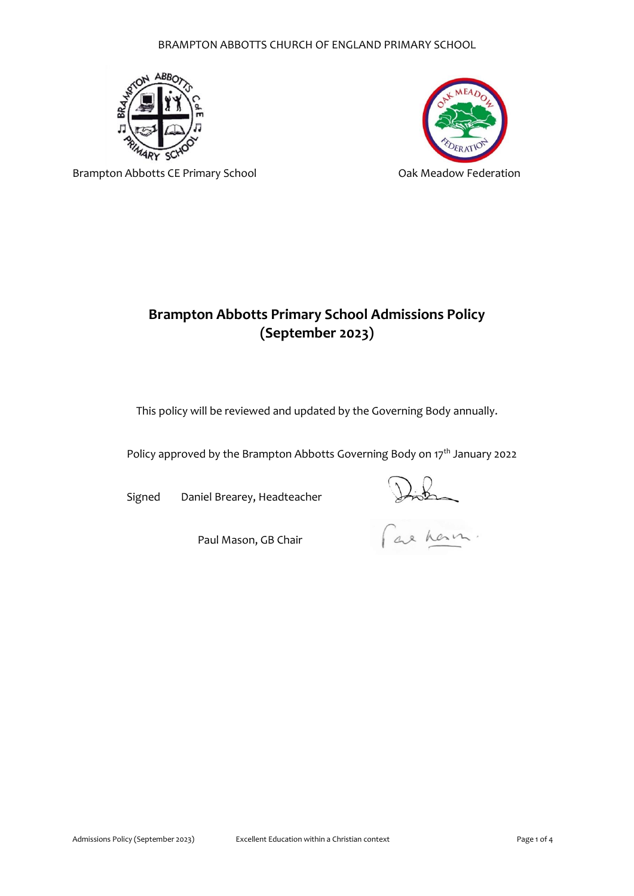## BRAMPTON ABBOTTS CHURCH OF ENGLAND PRIMARY SCHOOL





Brampton Abbotts CE Primary School **CE 1988** Oak Meadow Federation

# **Brampton Abbotts Primary School Admissions Policy (September 2023)**

This policy will be reviewed and updated by the Governing Body annually.

Policy approved by the Brampton Abbotts Governing Body on 17<sup>th</sup> January 2022

Signed Daniel Brearey, Headteacher

Paul Mason, GB Chair

Distin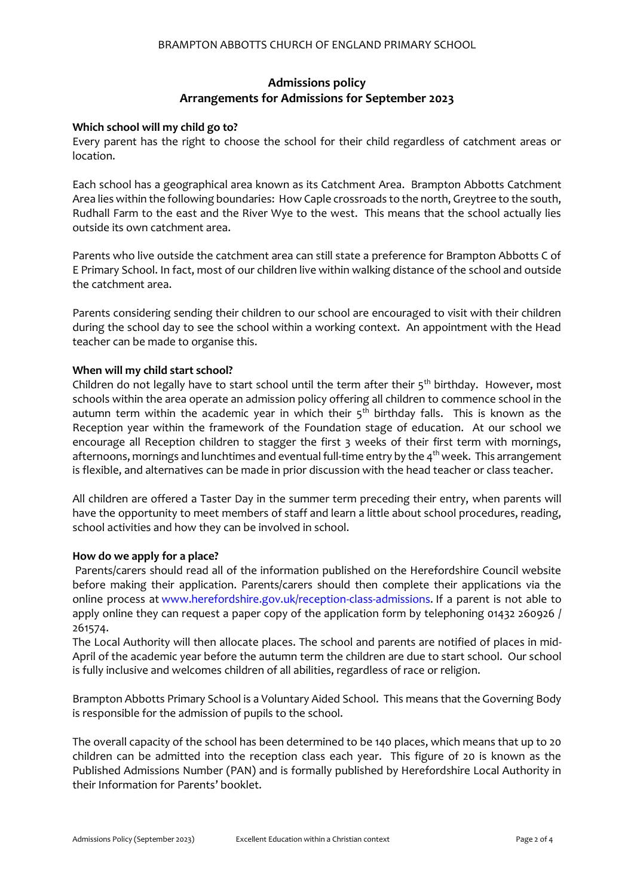# **Admissions policy Arrangements for Admissions for September 2023**

### **Which school will my child go to?**

Every parent has the right to choose the school for their child regardless of catchment areas or location.

Each school has a geographical area known as its Catchment Area. Brampton Abbotts Catchment Area lies within the following boundaries: How Caple crossroads to the north, Greytree to the south, Rudhall Farm to the east and the River Wye to the west. This means that the school actually lies outside its own catchment area.

Parents who live outside the catchment area can still state a preference for Brampton Abbotts C of E Primary School. In fact, most of our children live within walking distance of the school and outside the catchment area.

Parents considering sending their children to our school are encouraged to visit with their children during the school day to see the school within a working context. An appointment with the Head teacher can be made to organise this.

## **When will my child start school?**

Children do not legally have to start school until the term after their  $5<sup>th</sup>$  birthday. However, most schools within the area operate an admission policy offering all children to commence school in the autumn term within the academic year in which their  $5<sup>th</sup>$  birthday falls. This is known as the Reception year within the framework of the Foundation stage of education. At our school we encourage all Reception children to stagger the first 3 weeks of their first term with mornings, afternoons, mornings and lunchtimes and eventual full-time entry by the 4<sup>th</sup> week. This arrangement is flexible, and alternatives can be made in prior discussion with the head teacher or class teacher.

All children are offered a Taster Day in the summer term preceding their entry, when parents will have the opportunity to meet members of staff and learn a little about school procedures, reading, school activities and how they can be involved in school.

#### **How do we apply for a place?**

Parents/carers should read all of the information published on the Herefordshire Council website before making their application. Parents/carers should then complete their applications via the online process at [www.herefordshire.gov.uk/reception-class-admissions.](http://www.herefordshire.gov.uk/reception-class-admissions) If a parent is not able to apply online they can request a paper copy of the application form by telephoning 01432 260926 / 261574.

The Local Authority will then allocate places. The school and parents are notified of places in mid-April of the academic year before the autumn term the children are due to start school. Our school is fully inclusive and welcomes children of all abilities, regardless of race or religion.

Brampton Abbotts Primary School is a Voluntary Aided School. This means that the Governing Body is responsible for the admission of pupils to the school.

The overall capacity of the school has been determined to be 140 places, which means that up to 20 children can be admitted into the reception class each year. This figure of 20 is known as the Published Admissions Number (PAN) and is formally published by Herefordshire Local Authority in their Information for Parents' booklet.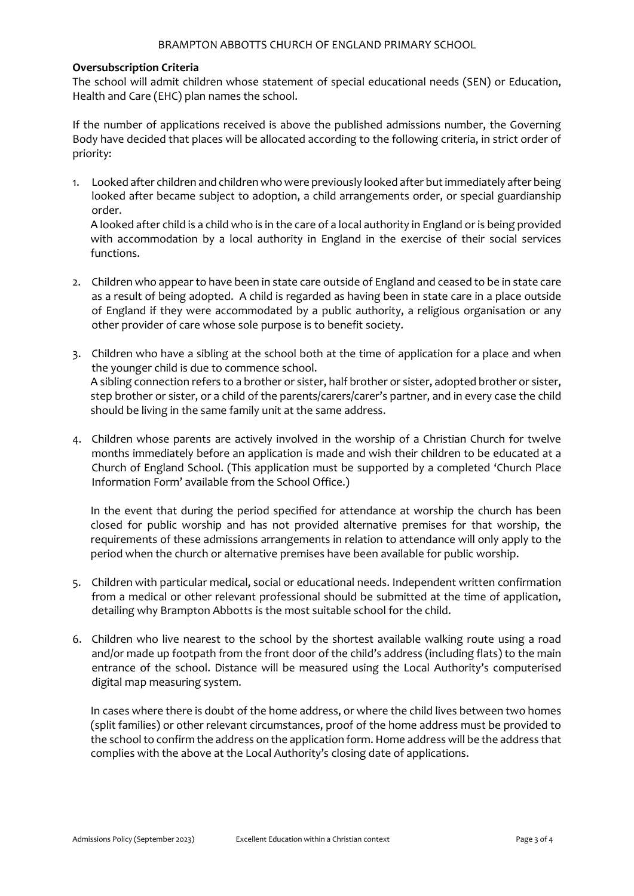#### **Oversubscription Criteria**

The school will admit children whose statement of special educational needs (SEN) or Education, Health and Care (EHC) plan names the school.

If the number of applications received is above the published admissions number, the Governing Body have decided that places will be allocated according to the following criteria, in strict order of priority:

1. Looked after children and children who were previously looked after but immediately after being looked after became subject to adoption, a child arrangements order, or special guardianship order.

A looked after child is a child who is in the care of a local authority in England or is being provided with accommodation by a local authority in England in the exercise of their social services functions.

- 2. Children who appear to have been in state care outside of England and ceased to be in state care as a result of being adopted. A child is regarded as having been in state care in a place outside of England if they were accommodated by a public authority, a religious organisation or any other provider of care whose sole purpose is to benefit society.
- 3. Children who have a sibling at the school both at the time of application for a place and when the younger child is due to commence school. A sibling connection refers to a brother or sister, half brother or sister, adopted brother or sister, step brother or sister, or a child of the parents/carers/carer's partner, and in every case the child should be living in the same family unit at the same address.
- 4. Children whose parents are actively involved in the worship of a Christian Church for twelve months immediately before an application is made and wish their children to be educated at a Church of England School. (This application must be supported by a completed 'Church Place Information Form' available from the School Office.)

In the event that during the period specified for attendance at worship the church has been closed for public worship and has not provided alternative premises for that worship, the requirements of these admissions arrangements in relation to attendance will only apply to the period when the church or alternative premises have been available for public worship.

- 5. Children with particular medical, social or educational needs. Independent written confirmation from a medical or other relevant professional should be submitted at the time of application, detailing why Brampton Abbotts is the most suitable school for the child.
- 6. Children who live nearest to the school by the shortest available walking route using a road and/or made up footpath from the front door of the child's address (including flats) to the main entrance of the school. Distance will be measured using the Local Authority's computerised digital map measuring system.

In cases where there is doubt of the home address, or where the child lives between two homes (split families) or other relevant circumstances, proof of the home address must be provided to the school to confirm the address on the application form. Home address will be the address that complies with the above at the Local Authority's closing date of applications.